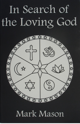# In Search of the Loving God



# Mark Mason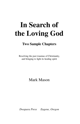# **In Search of the Loving God**

#### **Two Sample Chapters**

Resolving the past traumas of Christianity, and bringing to light its healing spirit

Mark Mason

*Dwapara Press Eugene, Oregon*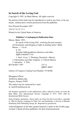#### **In Search of the Loving God**

Copyright © 1997, by Mark Mason. All rights reserved.

No portion of this book may be reproduced or used in any form, or by any means, without prior written permission from the publisher.

First Printed November 1997 10 9 8 7 6 5 4 3 2 1 Printed in the United States of America

#### **Publisher's Cataloging-in-Publication Data**

Mason, Mark, 1953- In search of the loving God : resolving the past traumas of Christianity, and bringing to light its healing spirit / Mark Mason. — 1st ed. p. cm. Includes bibliographical references and index. ISBN 0-9658477-4-8 1. God—Love. 2. Theology, Doctrinal—History. 3. Christianity and other religions. 4. Church History. 5. Salvation. I. Title. BT140 M37 1997 231'.6 QBI97-40847

Library of Congress Catalog Card Number: 97-68386

*Dwapara Press*  30160 Fox Hollow Rd., Eugene, Oregon 97405 The author may be contacted by e-mail

at: mark@markmason.net

All Scripture quotations in this publication, unless otherwise noted, are from the Holy Bible, New International Version. Copyright © 1973, 1978, 1984 by International Bible Society.

Some Scripture quotations, where noted, are from THE JERUSALEM BIBLE, copyright © 1966 by Darton, Longman & Todd, Ltd. and Doubleday, a division of Bantam Doubleday Dell Publishing Group, Inc. Reprinted by permission.

Acknowledgment of all other quoted material is made on the Credits page, overleaf. I thank all these publishers for their kind permission.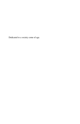Dedicated to a society come of age.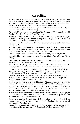#### **Credits:**

Self-Realization Fellowship, for permission to use quotes from Paramahansa Yogananda and Sri Yukteswar from Paramahansa Yogananda's books *Autobiography of a Yogi, The Divine Romance, Songs of the Soul* and *Spiritual Diary,* and a quote from Sri Daya Mata from *Self-Realization Magazine.*

Colin Smythe Ltd, for permission to quote four lines from *Medieval Irish Lyrics* by James Carney (Dolmen Press, 1967).

Thames & Hudson Ltd, for a quote from *The Crucible of Christianity* by Arnold Toynbee. Copyright © 1969 by Arnold Toynbee.

Hodder & Staughton, for quotes from *Crack In the Wall* by Jackie Pullinger. Copyright © 1989 by Jackie Pullinger. Reproduced by permission of Hodder & Staughton Ltd./New English Library Ltd.

New Statesman Magazine for quotes from "God the Sod" by Jeanette Winterson, May 10, 1991.

Vedanta Society of Southern California, for quotes from *The Sermon on the Mount According to Vedanta,* by Swami Prabhavananda, and *Bhagavad-Gita, The song of God,* by Swami Prabhavananda and Christopher Isherwood.

Crystal Clarity Publications for a quote from *The Path* by Swami Kriyananda.

Lennard Publishing, for quotes from *Are These the Words of Jesus?* by Ian Wilson (1990).

The World Community for Christian Meditation, for quotes from their publicity material and the writings of Laurence Freeman.

Simon & Schuster, for quotes from *Why I am Not a Christian* by Bertrand Russell. Copyright 1957 by George Allen & Unwin Ltd. Reprinted by permission.

*The Lost years of Jesus* by Elizabeth Clare Prophet. Copyright © 1984, 1987 Summit University Press, P.O. Box 5000-5000, Corwin Springs, Montana U.S.A. All rights reserved. Used by permission of Summit University Press.

3 QUOTES from *The Religions of Man* by HUSTON SMITH. Copyright © 1958 by Huston Smith. Copyright renewed 1986 by Huston Smith. Reprinted by permission of HarperCollins Publishers, Inc.

A QUOTE from *A Return to Love* by Marianne Williamson. Copyright © 1992 by Marianne Williamson. Reprinted by permission of HarperCollins Publishers, Inc.

A quote from *The Dead Sea Scrolls in English* by Geza Vermes (Third Edition 1987) Copyright © Geza Vermes, 1962, 1965, 1968, 1975, 1987. Reproduced by permission of Penguin Books, Ltd., Harmondsworth, UK.

A quote from *Islam* by Alfred Guillaume (Second revised edition 1956) Copyright © the estate of Alfred Guillaume, 1954, 1956. Reproduced by permission of Penguin Books, Ltd., Harmondsworth, UK.

Quotes from *Christianity and Other Religions* edited by John Hick and Brian Hebblethwaite (Collins Fount, Glasgow, 1980). Reprinted by permission of HarperCollins Publishers Ltd.

Portion from *A Course in Miracles* ® © 1975 Reprinted by Permission of the Foundation for Inner Peace, Inc. P.O. Box 598 Mill Valley, California 94942.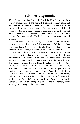# **Acknowledgments**

When I started writing this book, I had the idea that writing is a solitary pursuit. Once I had finished it, revising it many times, and including into it suggestions made by people who kindly read it and encouraged me to persevere and make sure it was published, I realized writing is in many respects a cooperative effort. I could not have completed and published this book without the help I have obtained from many people. My thanks and appreciation go out to all of them.

 Those whose help and encouragement have been crucial to this book are: my wife Joanne, my father, my mother, Bob Decker, John Lawrence, Kaya Stasch, Peter Stasch, Marcia Hildreth, Cynthia Blanche, Frank Steinke, Ian Baynes, Ron Ngata, and Kate Blanche.

 Many others have helped me in important ways during the years I have been writing this book and endeavoring to get it published, either directly with the book, or in other ways which made it possible for me to continue with the project. I would also like to thank them. They include: Yvonne Baynes, Helen Blanche, Joseph Boehle, Jane Dillon, Bev Doak, Joan Evans, Cathy Fields, Paul Finkel, Marguretta Gannon, Barbara Ghem, Adam Handwerger, Marilyn Hartmann, Nick Hodgson, Marcia Jerath, Adam Kreindel, Karen Lawrence, Trish Lees, Amber Mailer, Rosalind Mailer, Isobel Morel, Julie Morrison, Adam Neidig, Kaethlyn Nimmick, Jeff Pasternack, Ian Potterton, Prema de Silva, Roxanne Purdy, Patty Sanders, Janelle Schaefer, Alan Smith, Margaret Smith, Annette Swanton, Terry Sweeney, Alicia Uteg, and Eve Woodward.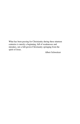What has been passing for Christianity during these nineteen centuries is merely a beginning, full of weaknesses and mistakes, not a full-grown Christianity springing from the spirit of Jesus.

Albert Schweitzer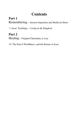# **Contents**

#### **Part 1**  Remembering— Ancient Inspiration and Medieval Abuse

5. Jesus' Teachings — Living in the Kingdom

#### **Part 2**  Healing— Original Christianity at Last

19. The End of Worldliness, and the Return of Jesus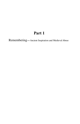### **Part 1**

Remembering **—**Ancient Inspiration and Medieval Abuse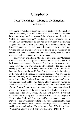#### **Chapter 5**

#### **Jesus' Teachings — Living in the Kingdom of Heaven**

Jesus came to Galilee at about the age of thirty to be baptized by John. In reverence, John said it should be Jesus rather than he who did the baptizing, but Jesus wanted John to baptize him, in order to "fulfill all righteousness."[1] Although Jesus brought in a revolutionary new teaching, his aim was not to overthrow the existing religious Law, but to fulfill it, and many of his teachings refer to Old Testament passages, and are clearly developments of the old Law. Nevertheless, his teachings about how to live in the "kingdom of heaven" with God in the here-and-now were radically new, and have never been well understood, in his time or since.

 The Jews were expecting a Messiah to establish a new "kingdom of God" in the form of a powerful Jewish nation which would rout the Romans and dominate the world. But although its name was the same, Jesus' kingdom was diametrically opposed to the kingdom of worldly power and wealth many Jews were looking for. For Jesus there was the way of the world, Satan's way, bound to lead to misery, or the way of God, leading to eternal happiness. We are free to choose either one, but we must choose between them. Jesus told us we can't serve both God and Mammon, just as a servant can't serve two masters (Matt 6:24). The Zealots almost certainly wanted to recruit Jesus to their cause. The devil, presumably in the form of one of these Zealots,[2] took Jesus "to a very high mountain and showed him all the kingdoms of the world and their splendor." He tried to entice Jesus to his cause, saying, "All this I will give you, if you will bow down and worship me." In modern words, we can imagine a Zealot saying, "Join and devote yourself to our cause — serve our interests — and I will make you king of all you can see from this high mountain and more!" Jesus, however, was beyond being tempted by worldly power, and replied, "Away from me, Satan! For it is written: 'Worship the Lord your God, and serve him only.'" (Matt 4:10)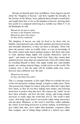Having set himself apart from worldliness, Jesus began to preach about the "kingdom of heaven," and drew together his disciples. In the Sermon on the Mount, Jesus gathered these disciples around him, and taught them how to live in the kingdom of heaven, showing them how joyful it is compared with living in a worldly way (Matt 5–7). In the Beatitudes he said,

 "Blessed are the poor in spirit, for theirs is the kingdom of heaven. Blessed are those who mourn, for they will be comforted."

The kingdom of heaven can only be lived in by those who are humble, and prepared to put aside their spirited, preconceived notions and surrender themselves, so they can learn as disciples. Those who place the greatest value on worldly riches, or even on knowledge of the world, cannot make much spiritual progress. But those who come to value spiritual things highly will consider themselves "poor in spirit," and mourn not having found God. Since they mourn their spiritual poverty more than any material lack, God will comfort them by revealing Himself to them. One might wonder how such humble people, not valuing material things, would survive in this world. The common view is that the meek will be trodden under foot. Jesus, however, had a different view. He said,

 "Blessed are the meek, for they will inherit the earth."

This is a strange statement, at first sight. When we consider the ways of the rich and power seeking, though, it begins to make sense. Those who possessively hunger for money and power often don't enjoy their lives much, as they are too busy making more money, and worrying about how to protect what they have. By contrast, the "meek" do not have these anxieties, and have the time, energy, and loving attitude necessary to really enjoy the world they live in. The world is their oyster. And being meek doesn't necessarily imply being unassertive and put-upon. Meekness, as the word is used here, rather embodies the virtues of not being possessive or power seeking, of preferring to give rather than take, serve rather than dominate, cooperate rather than compete, and of letting things unfold in a natural way rather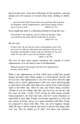than forcing issues. Jesus later elaborated on this meekness, advising people not to be anxious or worried about food, clothing or shelter, for:

 "…your heavenly Father knows that you need them. But seek first his kingdom, and his righteousness, and all these things will be given to you as well." (Matt 6:32–33)

Jesus taught that there is a liberating freedom in living this way:

 "If you hold to my teaching, you are really my disciples. Then you will know the truth, and the truth will set you free." (John 8:31–32)

He also said,

 "Come to me, all you who are weary and burdened, and I will give you rest. Take my yoke upon you and learn from me, for I am gentle and humble in heart, and you will find rest for your souls. For my yoke is easy and my burden is light." (Matt 11:28–30)

The first of these three quotes introduces the concept of God's righteousness. It is also there in one of the Beatitudes:

 "Blessed are those who hunger and thirst for righteousness, for they will be filled."

What is this righteousness of God, which Jesus would have people hunger and thirst after? Quite simply, it is God himself, and his will for our lives. Our righteousness is our own view about what the right thing to do is; God's righteousness is His view. Jesus advised people to seek God's will rather than their own, and he lived to this himself, right to the bitter end, when he said, just before being crucified, "Father, if you are willing, take this cup from me; yet not my will, but yours be done." (Luke 22:42) Living by faith means actually being prepared to do what God asks, even if it seems ridiculous or impossible at first sight. People can become apprentices to God, the true master of living, and go on a great adventure with Him, if they are prepared to learn from Him. This can never happen, though, while the ego is still in control, and insists a person does things their own way. But by letting go of their own ideas and anxieties,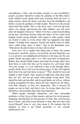surrendering to God, and becoming receptive to new possibilities, people can place themselves under the guidance of the Holy Spirit. Little children rarely spend much time worrying about the past, or being anxious about the future, and they have the humbleness and faith to accept the guidance of older people. They live in the present much more than adults. This is why Jesus said, "I tell you the truth, unless you change and become like little children, you will never enter the kingdom of heaven." (Matt 18:3) Fear comes from dwelling on the past, and being anxious about the future. It also comes from holding certain wrong attitudes with regard to other people, which are bound to make us worry about what has happened and might happen. Avoiding these negative, fearful and selfish states of mind, Jesus called being "pure of heart." One of the Beatitudes says: "Blessed are the pure in heart, for they will see God."

 Jesus goes on to explain that being pure of heart also means having pure, unselfish, motives, yet he points out how being this way is in a person's own enlightened self-interest in the long run. He says people should not judge others, or it will come back on themselves. Rather, they should readily forgive and forget the wrongs others have done them, in order that they can be forgiven for, and forget, their own past wrongs. It is not sufficient to just avoid harming others; people should also avoid even becoming angry, as this will separate them from God and land them in misery.<sup>[3]</sup> They should be loyal and faithful to their friends. They should not fight back when they know they can win, and not get upset when people wrong them. They should be kind and merciful, and do good deeds out of love, without seeking recognition for them. Above all, they should love all others, even their enemies, as they love themselves. This is because all people are one in God, and God is love. In loving others they love themselves, and in hating others they hate themselves.

 When people surrender themselves, and their intractable problems, to God, let go of their anxiety, and just live in the present, hungering and thirsting for the presence of God, they soon become pure of heart, and God reveals Himself to them. But how does God reveal Himself? Jesus is very clear about it. He explains that the kingdom of God is not found outwardly, as any external manifestation, for: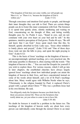"The kingdom of God does not come visibly, nor will people say 'Here it is,' or 'There it is,' because the kingdom of God is within you." (Luke 17:21)

Through conscience and intuition God speaks to people, and through their inner thoughts they can talk to God. There are certain things people can do to foster this inner communion with God. The foremost is to spend time quietly alone, silently meditating and waiting on God, concentrating on the thought of Him, and letting worldly thoughts pass by. As Psalm 4 says, "Stand in awe, and sin not: commune with your own heart on your bed and be still." In this quietness, intuitive perception of God grows. Psalm 46 says, "Be still and know that I am God." Jesus spent much time like this, by himself, quietly absorbed in God. Luke says, "Jesus often withdrew to lonely places and prayed," (Luke 5:16) and "One of those days Jesus went out into the hills to pray, and spent the night praying to God." (Luke 6:12)

This is the basis of Jesus' teachings on the kingdom of heaven an uncompromisingly spiritual teaching, yet a very practical one. He told many parables to illustrate it, often starting with the words: "The kingdom of heaven is like…" You can read the Gospels for yourself if you wish to explore these. For various reasons, which I will go into in later chapters, the established churches have always largely ignored Jesus' teachings about how individual people can attain the kingdom of heaven in their lives, and have concentrated instead on some of his words about himself, and a lot of St Paul's teachings about him. Many would agree with Wilhelm Nestle when he says, "Christianity is the religion founded by Paul; it replaced Christ's gospel with a gospel about Christ."[4] This was a problem Jesus had in his own lifetime. He said,

 You diligently study the Scriptures because you think that by them you possess eternal life. These are the Scriptures that testify about me, yet you refuse to come to me to have life. (John 5:39–40)

No doubt he foresaw it would be a problem in the future too. The teachings of the kingdom of heaven really are about how every person can individually come through the eternal Christ to an inner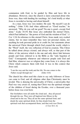communion with God, to be guided by Him and have life in abundance. However, since the church is more concerned about who Jesus was, than with heeding his teachings, let's look briefly at what Jesus is recorded as having said about himself.

 As a man, Jesus was very modest. He said, "By myself I can do nothing." (John 5:30) And when addressed as "Good teacher," he answered, "Why do you call me good? No-one is good — except God alone." (Luke 18:19) But Jesus also embodied the eternal Christ, which Paul defined as "the power of God and the wisdom of God." (1 Cor 1:24) In reference to this eternal Christ, Jesus made very exalted claims, but we must remember they were not personal claims, nor anything he took personal pride in or credit for, but statements about the universal Christ through which God created the world, which is the "Word" itself, the very reflection of God in creation. This Christ he talked about always existed, and always will, as that part of the fabric of the universe which is the one and only direct link between people and God, referred to in the Bible as the "only begotten of God." Consequently whenever and wherever people seek God and find Him, whatever race or religion they come from, it is always this Christ which connects them with God. It was in this context that Jesus said,

 "I am the way and the truth and the life. No-one comes to the Father except through me." (John 14:6)

The church has often used this claim to say only followers of Jesus can come to God, and all religions other than Christianity must be invalid. This is denying the universality of Christ, a universality that Paul was very aware of, stating that Christ was the spiritual strength of the children of Israel during the Exodus, over a thousand years before Jesus was even born:

 Our forefathers were all under the cloud and…they all passed through the sea. They were all baptized into Moses in the cloud and in the sea. They all ate the same spiritual food, and drank the same spiritual drink; for they drank from the spiritual rock that accompanied them, and that rock was Christ. (1 Cor 10:1–4)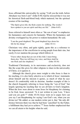Jesus affirmed this universality by saying "I tell you the truth, before Abraham was born I am!" (John 8:58) And he stressed that it was not his historical flesh-and-blood body which mattered, but the spiritual essence of his teaching:

 "The Spirit gives life; the flesh counts for nothing. The words I have spoken to you are spirit and they are life." (John 6:63)

Jesus referred to himself most often as "the son of man" to emphasize his humanness and concern for humanity. Where his humanness and divinity overlapped lay his power to redeem humankind. He said,

 "I am the good shepherd. The good shepherd lays down his life for his sheep." (John 10:11)

Christians very often, and quite rightly, quote this as a reference to the importance of the crucifixion in saving people from their sins, but rarely if ever mention the passage which follows it:

 "I have other sheep that are not of this fold. I must bring them also. They too will hear my voice, and there shall be one flock and one shepherd." (John 10:16)

Traditional Christianity, in its narrowness and exclusivity, does not like the scope this gives for other religions to share in the universality of Christ, so it ignores it.

 Although the church gives more weight to who Jesus is than to his teaching, it is also fairly selective as to which of Jesus' statements about himself and his mission it quotes, as much of what he says doesn't fit comfortably with its doctrine. Another example of this is the church frequently referring to Jesus being the "son of God," but largely ignoring his teaching that we are all heirs to God's kingdom. When the Jews were about to stone Jesus for blasphemy for claiming to be God, Jesus answered: "Is it not written in your Law, 'I have said you are gods'?" (John 10:34) Jesus went on to argue: how can you say I am blaspheming for saying I am God's son, when you are divine too? He added, as one modern writer put it, that "the only difference between them was that he had been 'sanctified' by the Father, a fulfillment they had yet to achieve."<sup>[5]</sup> Jesus further emphasized that we can all attain to his heights when he said,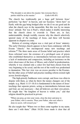"The disciple is not above his master: but everyone that is perfect shall be as his master." (Luke 6:40 AV)

The church has traditionally put a huge gulf between Jesus' perfection "up there" in heaven, and our baseness "down here" on Earth, with the gap being bridged after we die if we are good and do what the church says in the meanwhile. But this was by no means Jesus' attitude. Nor was it Paul's, which makes it doubly interesting that the church chose to override it. There are, in fact, understandable, though worldly, reasons why the church selectively ignored many of the teachings of Jesus, and these will become apparent in chapters to come.

 Reform of existing religion was a vital part of Jesus' ministry. The early Christian church appears to have been continuous with the Essene "church," but encompassed many new teachings and reforms.[6] The three main areas of Essene belief and practice which Jesus reformed were: the existence of a privileged caste of priests who established themselves as intermediaries between man and God; a lack of moderation and compassion, including an insistence on the strict observance of the laws of Moses; and a belief in predestination, whereby it was claimed only a select few had been chosen from the very beginning to be saved, and the rest of the world was predestined to damnation. This last view was an excess peculiar to the Essenes, but the other areas of belief and practice needing reform existed right across Jewish religion.

 The high-priestly Sadducees were corrupt, and Jesus was often in dispute with them, as when he threw the money changers out of the temple. (e.g. Mark 11:15–18) It is fundamental to the nature of Jesus' teachings that separate priests, acting as intermediaries between man and God, are not necessary — that all believers are their own priests. He taught that "the kingdom of heaven is within you," and that religion should be practiced in private:

 "When you pray, go into your room, close the door and pray to your Father, who is unseen. Then your Father, who sees what is done in secret, will reward you." (Matt 6:6)

He also taught that "Where two or three come together in my name, there am I with them." (Matt 18:20) Jesus made it clear that all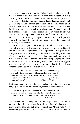people can commune with God the Father directly, and this certainly makes a separate priestly class superfluous. Unfortunately, it didn't take long for this reform of Jesus' to be reversed and for priests to return to the Christian church as intermediaries between people and God. During the Reformation the principle of the "priesthood of all believers" was re-established in some denominations, but to this day the Roman Catholics, Orthodox, Anglicans and Episcopalians still have ordained priests as their leaders, and only these priests can preside over the Holy Communion or Mass.[7] How can so much of the church have so blatantly disregarded one of Jesus' most important reforms for so long? It is a question to keep in mind while looking at the history of the church.

 Jesus certainly spoke and acted against blind obedience to the Laws of Moses, or for that matter to any teaching, and instead taught and acted out of thoughtfulness and compassion. Among the many examples of this are his healing on the Sabbath, and his justification of it to his critics by saying, "The Sabbath was made for man, not man for the Sabbath," (Mark 2:27) and "Stop judging by mere appearances, and make a right judgment." (John 7:24) In an appeal to the keeping of the spirit of the law, rather than its letter, Jesus elevated just two commandments above all the rest:

 "'Love the Lord your God with all your heart and with all your soul and with all your mind.' This is the first and greatest commandment. And the second is like it: 'Love your neighbor as yourself.' All the Law and the Prophets hang on these two commandments." (Matt 22:37–40)

That Jesus thought the law should be looked at and taught in a fresh way, depending on the circumstances, is shown by his saying:

 "Therefore every teacher of the law who has been instructed about the kingdom of heaven is like the owner of a house who brings out of his storeroom new treasures as well as old." (Matt 13:52)

Jesus' moderation and compassion fill the Gospels. The way he didn't judge the Samaritan woman at the well, even though he knew of her many sexual partners, but rather offered her "living water" by discussing great spiritual truths with her, is an inspiring example to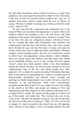all. And many Samaritans came to believe in Jesus as a result of the gentleness, love and respect he showed her (John 4:4–42). Then there is the story of how he saved the woman caught in the "very act" of adultery from being stoned to death under the Law of Moses, by saying, "He that is without sin among you, let him cast the first stone at her." (John 8:7 AV)

 Yet how long did this compassion and moderation last in the Church? When you read about the Inquisition, it is hard to believe the medieval church had anything at all to do with Jesus. And what happened to the respect and equality Jesus showed to women? Even in our time, how does our compassion compare with that of Jesus? Yet his example did make early Christianity more moderate and compassionate than the Jews and Essenes were, and it has reached down through the ages and into the hearts of many, and made the world a better place than it might have been. And finally, in Western countries in the twentieth century, the laws of our lands have started to reflect Jesus' non-judgmental, caring attitude to moral offenders. Jesus was clearly saying that adultery, and other moral sins, should not be punishable offenses, yet it is only recently that laws against "moral" crimes have been repealed. Sadly, it has been humanists outside the church who have, for the most part, pushed for this new compassionate state of the law, and church people have often opposed it. It is a matter for concern in modern Christianity that large parts of the church are still pushing for a return to criminal status of homosexuality, prostitution and abortion. Jesus' example and teachings are finally being heeded in our society, but not as much by Christians as by non-Christians. What must well-informed, perceptive people think of this? Is it any wonder revival is not coming to the church in the West, and people are looking to New Age organizations and other religions for their spiritual well-being? If it is to regain Christ's mantle, the church and the people in it need to let go of their pride, and realize that "Not everyone who says to me, 'Lord, Lord,' will enter the kingdom of heaven, but only he who does the will of my Father who is in heaven." (Matt 7:21) It is not too late to change: it is time for people in the church who are still opposing Jesus' reforms to stop doing so. Jesus is no longer ahead of his time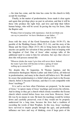— his time has come, and the time has come for the church to fully accept his teachings.

 Finally, in the matter of predestination, Jesus made it clear again and again that privilege plays no part in salvation, and that it will be those who produce the right fruit, and love and help their fellow human beings, who will be saved. In paving the way for Jesus, John the Baptist said,

 "Produce fruit in keeping with repentance. And do not think you can say to yourselves 'we have Abraham as our father…'" (Matt 3:8–9)

Jesus told the story of the Good Samaritan (Luke 10:30–37), the parable of the Wedding Guests (Matt 22:2–14), and the story of the Sheep and the Goats (Matt 25:31–46) to bring home the point that anyone can qualify for salvation if they produce fruit in keeping with the kingdom of God. One of Jesus' other sayings talks of the additional need to come to him for salvation, but says that *whoever* does this will possess eternal life:

 "Whoever drinks the water I give him will never thirst. Indeed, the water I give him will become in him a spring of water welling up to eternal life." (John 4:14)

Yet, despite this, St Augustine, St Thomas Aquinas, and the reformation theologians Martin Luther and John Calvin, all believed in predestination, and many in the church still believe in it. We should be aware that predestination is a belief which goes back to the Essene church, before it became Christian, and that it is not compatible with Jesus' teachings.[8]

 It is sad to see how often Christians are prepared, "in the name of Jesus," to ignore many of Jesus' teachings and reverse his reforms. And in doing so they get a church which closely resembles the Essene church which existed before Jesus was even born. However, Jesus' life was by no means in vain. He knew his teachings would be written down and carefully preserved, even if they would not be properly understood for a long time, because the Jews had a tradition of recording the words of their Prophets. In this way, Jesus' teachings have survived to inspire people through the ages, and profoundly influence our laws and way of thinking, even if large parts of the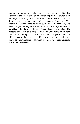church have never yet really come to grips with them. But this situation in the church can't go on forever; hopefully the church is on the verge of deciding to remodel itself on Jesus' teachings, and of deciding to focus its attention on what he considered important. The church, like society, consists of the sum total of its members, and these changes can only take place in the church if large numbers of individual Christians decide to embrace them. If and when this happens there will be a major revival of Christianity in western countries, and throughout the world. If it doesn't happen, Christianity will continue to dwindle, and could even be largely replaced as the bearer of Jesus' message of salvation by one or more other religions or spiritual movements.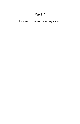# **Part 2**

Healing — Original Christianity at Last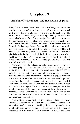#### **Chapter 19**

#### **The End of Worldliness, and the Return of Jesus**

Many Christians have the attitude that the world is going to rack and ruin. It's no longer safe to walk the streets. Crime is ten times as bad as it was in the good old days. The world is destined to terrible destruction in the next few years. Even apparently good trends like communism's retreat from Europe are just the devil deceiving us into thinking things are going well so he can complete his final death blow to the world. Only God-fearing Christians will be plucked from the flames in the last days. Most of the world's people are about to die agonizing deaths, then go to hell for an eternity of torment. This will happen very soon now, when Jesus returns to "rapture" Christians who believe in the literal truth of the Bible, and cast the rest of the world into "tribulation." All this is predicted in the Bible books of Matthew and Revelation. And they're telling you all this so you can turn to Jesus and be saved.

 The evangelical film industry strongly pushes this line, using fear to convert people. The executive producer of one of its films, *A Thief in the Night*, estimated that this film which cost only \$68,000 to make led to a harvest of over four million conversions, and made many millions of dollars in revenues. The film is a graphic portrayal of the world in tribulation after true Christians have been "raptured" (taken from the planet), and centers on the anguish of a woman called Patty who considers herself a Christian, but goes to a church whose minister is a theological liberal who refuses to interpret the Bible literally. Because of this she is left behind at the rapture while her husband, a "true" Christian, is taken by Jesus. The makers of this film have said that it works best when followed by an "altar call" or an invitation to conversion.<sup>[1]</sup>

 The attitude exemplified by this movie, which has many variations, is a direct result of Christian exclusiveness combined with an "eschatology," or "end-time teaching," based on a particular, very literal, interpretation of chapter 24 of Matthew and the book of Revelation. In every century, from a few years after Jesus died to the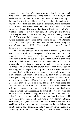present, there have been Christians who have thought this way, and were convinced that Jesus was coming back in their lifetime, and the world was about to end. Some admitted they didn't know the day or the hour, just that it would be soon. Others confidently predicted the year of Jesus' return, and some even the exact day. But on thousands of occasions, over twenty centuries, these predictions have been wrong. Yet, despite this, many Christians still believe the end of the world is coming soon. A few years ago, a book was published with a title along the lines of, "88 Reasons Why Jesus is Coming Back in 1988." When Jesus failed to come back in that year, a rather cruel cartoon proposed a new edition of the book to be called, "89 Reasons Why Jesus is coming back in 1989," with the 89th reason being that he didn't come back in 1988.<sup>[2]</sup> This is a fairly accurate reflection of the state of end-time teaching.

 The belief that the world is ending soon is particularly prevalent among Pentecostal and evangelical Christians. Yet not all evangelicals and Pentecostals subscribe to this end-time teaching, and some have even pointed out its dangers. Arden Burrell, a prominent pastor and administrator in the Pentecostal Assemblies of God church in Australia, has pointed out one of the main problems with such teachings. His warning to the church was, "Your eschatology is defeating you." He explained this by saying that the belief that Jesus is coming back within a few years was causing people to put both their temporal and spiritual lives on hold. They were not making proper plans and provision for their future, or their children's future, nor were they making an effort in their spiritual lives to do the will of God, and grow in God's strength. Instead they were using the supposed imminent return of Jesus as an excuse for carelessness and laziness. I remember the ambivalent feelings of one intelligent teenager in that church regarding the return of Jesus: of course she looked forward to Jesus coming, but she hoped he would come later rather that sooner, so she and the children she hoped to have could enjoy their lives first. I felt this was a very healthy attitude, nevertheless, it highlighted one of the chief problems with end-time teachings, which is that only one generation of human beings can both be present at its fulfillment, and not miss out on the chance of a reasonably full life on earth. And this, of course, explains why some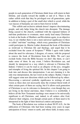people in each generation of Christians think Jesus will return in their lifetime, and usually toward the middle or end of it. There is the rather selfish wish that they be privileged over all generations, quite in addition to being a part of the small elect which is saved, while the vast masses of humanity are sent to burn forever in hell.

 This selfish and exclusive attitude doesn't impress discriminating people, and only helps bring the church into disrepute. The damage being caused to the church, combined with the repeated failures of end-time predictions to eventuate, must surely lead many Christians to look at the books of Matthew and Revelation again, in an objective way, to see whether there is not a more universal significance to these so called "end-time" teachings, which every generation of Christians could participate in. Martin Luther dismissed the book of Revelation as irrelevant to Christian life and theology, and urged that it be excluded from the canon of Scripture.<sup>[3]</sup> While I agree with Luther about the need for relevance, I disagree, of course, with his proposal to remove the book of Revelation from the Bible. We can't just exclude books from the Bible because we don't like them, or can't make sense of them. In any event, I believe Revelation can, and should, be interpreted in a way which is relevant to Christian life. Indeed, I believe it can be read as an allegory of the joys, struggles and triumphs of living the spiritual life. In this chapter I am going to look into and discuss this interpretation. I am not claiming it is the only true interpretation, the last word on the subject. Rather, I hope it will suggest some new directions which can be followed up by others. Discovering a universal symbolic significance in writings of such vision as these does not necessarily deny the eventual literal truth of what certain parts of them are saying, but if it allows each generation of Christians to see its relevance to themselves, even though they are not living in the literal end-times, then I believe it is worthwhile. I believe all the New Testament teachings were meant to be universally significant to all Christians, and, indeed, to all seekers after God, whatever their religion, even though certain parts of them need to be interpreted in the light of their historical context and purpose.

 The book of Revelation was written in about 90-95 A.D., for the edification of Christians who had been waiting sixty years in eager anticipation of Jesus' return to earth, and whose faith, in many cases,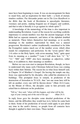must have been beginning to wane. It was an encouragement for them to stand firm, and an inspiration for their faith — a book of eternal, timeless realities. Pat Alexander points out in *The Lion Handbook to the Bible* that the book of Revelation is apocalyptic literature, visionary and poetic, making frequent use of imagery and symbols, and that to take it literally is to go against its whole spirit.<sup>[4]</sup>

 A knowledge of the numerology of the time is also important in understanding Revelation. A part of the reason for ascribing symbolic importance to certain numbers was that the ancient languages of the Bible had no separate numerals, and letters of the alphabet doubled as numerals. These letters themselves had meanings, so to ascribe meanings to the numbers represented by them was a natural progression. Revelation's author (traditionally considered to be John the Evangelist) makes much use of the number seven, which often stands for completeness and perfection. So the "seven spirits" (Rev 1:4) refers to the Holy Spirit, with seven meaning "holy," quite apart from its meaning as a number.<sup>[5]</sup> Later I will show how "4," "6," "12," "666" and "1000" also have meanings as adjectives, rather than, or in addition to, their meanings as numbers.

 Before we can even start to interpret Revelation, though, we have to understand why many early Christians believed Jesus was coming back within their lifetime. The reason lies in what Jesus himself said, in Chapter 24 of Matthew's Gospel. On leaving the temple one day, Jesus was approached by his disciples, who called his attention to its buildings. This prompted Jesus to remark, in prediction of the destruction of Jerusalem in 70 A.D., that "not one stone here will be left on another; every one will be thrown down." (Matt 24:2) Later, on the Mount of Olives, the disciples came to him privately and asked him to elaborate on his prediction:

 "Tell us," they said, "when will this happen, and what will be the sign of your coming and of the end of the age." (Matt 24:3)

In reply Jesus gave his disciples some detailed predictions of the future, and the difficulties they would face in it, before he came back to them. Some of his predictions of travail could apply to just about any time in the earth's history, so people from all centuries have thought it applied to their own times. These include: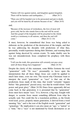"Nation will rise against nation, and kingdom against kingdom. There will be famines and earthquakes..." (Matt 24:7)

 "Then you will be handed over to be persecuted and put to death, and you will be hated by all nations because of me." (Matt 24:9)

and,

 "Because of the increase of wickedness, the love of most will grow cold, but he who stands firm to the end will be saved. And this gospel of the kingdom will be preached in the whole world as a testimony to all nations, and then the end will come." (Matt 24:12–14)

It must, however, be remembered that Jesus was being asked to elaborate on his prediction of the destruction of the temple, and that he was addressing his disciples with predictions of what they, personally, would experience during their lifetimes, and warning them against being deceived by certain events. To make doubly sure he was not misunderstood, Jesus completed his prophecy with these words:

 "I tell you the truth, this generation will certainly not pass away until all these things have happened." (Matt 24:34)

Despite the clarity of this statement, some Bibles footnote the word "generation" with "Or race," presumably to leave open the interpretation that all these things Jesus saw could be applied to much later times, even our own. The reason why Christians want to interpret the word "generation" as "race" is that one of the predictions Jesus made of this time, that would "certainly" happen before "this generation" passed away, was that he would return "with power and great glory." (Matt 24:30) Since Jesus apparently did not come back in that generation, it is presumed that by "generation" Jesus must have meant "race." It is, however, a big step, fraught with danger, to assume Jesus meant something different from what he actually said. Nor could this be a translation problem, as the Greek word used, *genea*, properly means generation, is derived from a word meaning "kin," and is the root of the English words "generation" and "genealogy." By implication it can also mean an "age," a "nation" or a "time," but a "race" is not mentioned by Greek dictionaries as an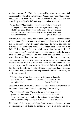implied meaning.<sup>[6]</sup> This is, presumably, why translators feel constrained to retain the translation of "generation," even though they would like it to mean "race." Another reason is that Jesus said the same thing in a slightly different way on another occasion:

 "…the Son of Man is going to come in his Father's glory with his angels, and then he will reward each person according to what he has done. I tell you the truth, some who are standing here will not taste death before they see the Son of Man com ing in his kingdom." (Matt 16:27–28)

This confirms Jesus really was predicting he would come back while at least some of the current generation of people were still alive. And this is, of course, why the early Christians, to whom the book of Revelation was addressed, were so convinced Jesus would return in their lifetime. Do we have to admit, then, that this prediction of Jesus' was wrong? I don't think so. I believe Jesus really did come back in that generation, and has been coming back to every generation since then, but that most people did not, and do not, recognize his presence. Most people were expecting Jesus to return in a physical body, albeit a glorious one, which could be seen with their everyday eyes, but it was not to be like that. When Jesus explained that the kingdom of God is not a physical place somewhere out there, but is intuitively perceived and experienced "within" ourselves, he put it in these words:

 "The kingdom of God does not come visibly, nor will people say, 'Here it is,' or 'There it is,' because the kingdom of God is within you." (Luke 17: 20–21)

Speaking of his return, in Matthew 24, Jesus made a similar use of the words "Here" and "There," suggesting a like meaning:

 "So if anyone tells you, 'There he is, out in the desert,' do not go out; or, 'Here he is, in the inner rooms,' do not believe it. For as the lightning comes from the east and flashes to the west, so will be the coming of the Son of Man." (Matt 24:26–27)

The image of the lightning flashing from the east to the west speaks of omnipresence, of being all places at once: it is symbolic of a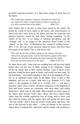powerful spiritual presence. It is like Jesus' image of those born of the Spirit:

 "The wind blows wherever it pleases. You hear its sound, but you cannot tell where it comes from or where it is going. So it is with everyone born of the Spirit." (John 3:8)

And, indeed, this is the key to what Jesus meant by his return. He meant he would be born again in the hearts and consciousness of those who have been born of the Spirit, and that his powerful and glorious presence would be with them. Seeing something "in the clouds of the sky" is an image of spiritual perception, and the "trumpet call" is an image of the interiorly heard sound of the "Amen" (or the "Om," of Hinduism), the "sound of rushing waters" (Rev 1:15), the roar of the universe, heard by those who have been born again of the Spirit. This is why Jesus said,

 "They will see the Son of Man coming on the clouds of the sky, with power and great glory. And he will send his angels with a loud trumpet call, and they will gather his elect from the four winds, from one end of the heavens to the other." (Matt 24:30–31)

So when Jesus said, "some who are standing here will not taste death before they see the Son of Man coming in his kingdom," (Matt 16:28) he meant that in their current lifetime, some of those in his presence would be born again in Spirit, and would see him come "IN HIS KINGDOM." And which kingdom is this? It is the kingdom of God, for, as is explained many times in the Bible, Jesus is heir to this kingdom, and we are co-heirs with him (e.g. Romans 8:17). And where is the kingdom of God? It is "WITHIN YOU" — and that is precisely where Jesus returns. All these references to the kingdom of God and Jesus' return are consistent with each other, and within themselves, when seen in this light. When people are born again of the Spirit, they become God's elect, those who have chosen Him rather than the worldly egotistical way of living, and so Jesus said that when he comes with his angels, they will gather his elect from "the four winds," that is from all corners of the earth, and from "one end of the heavens to the other" — from all planets in the universe where there is sentient life. And Jesus and his angels will continue to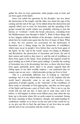gather his elect in every generation, when people come to God, and are born again of the Spirit.

 Jesus was asked two questions by his disciples: one was about the destruction of the temple, and the other was about the sign of his coming and the end of the age. So he talked about the destruction and anguish which was in store for Jerusalem, and the spreading of his gospel around the world (which was probably referring to just the known, or "civilized," world, the Greek *oikoumene*, extending from the Mediterranean area through to India<sup>[7]</sup>). Both of these things did, in fact, happen within the lifetime of his disciples. And he also talked about how he would come again into the lives of many of them. What is more, his two answers are associated, for the destruction of Jerusalem was a fitting image for the destruction of worldliness which must occur in people's lives before they can be born again of the Spirit. So the "end of the world" means two things in Matthew and Revelation: the destruction of Jerusalem and Israel, the end of their nation and world as they knew it, and the end of worldliness in those born again of the Spirit. Jesus predicted the anguish would be great leading up to both of these great endings. Certainly the sacking of Jerusalem was to be devastating, but also, as those who have been born again spiritually know, there is no greater anguish than the falling apart of our little worldly empires — our realization that we cannot cope on our own — which precedes giving our lives to God.

 This is a profoundly different way of looking at "end-time" teachings, but it is one which makes sense of it all, explains why the world hasn't physically come to an end, and involves every generation of people equally, as the "end-time" of the worldliness of those ready to surrender to God approaches, and they are born again of the Spirit and become a part of God's elite. This is not to say the world will not end one day; it must end at some time, and if not before, it will happen in about seven billion years time when the sun heats up to the point where life on earth cannot be sustained. Seeing the basic meaning of these Scriptures, though, and understanding its symbolism, enables us to focus on the true end of this world for us, as we give our life to God: the end times of our lives here on earth, and the end of our association with the world's ways.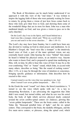The Book of Revelation can be much better understood if we approach it with this view of the "end times." It was written to inspire the lagging faith of those who were patiently waiting for Jesus to return, by giving them a vision of just how Jesus comes back to those who truly give their lives to God, and showing them some of the wonderful things that are in store for them. John was a man who meditated deeply on God, and was given a vision to pass on to the early churches:

 On the Lord's day I was in the Spirit, and I heard behind me a loud voice like a trumpet, which said: "Write on a scroll what you see and send it to the seven churches…" (Rev 1:10–11)

The Lord's day may have been Sunday, but it could have been any day devoted to waiting on God in silent prayer and meditation. As in Matthew's Gospel, the "loud voice like a trumpet" is the intuitively heard voice of God, a part of the inner spiritual vision, not any externally heard sound. John hearing the voice "behind" him means he heard it behind his physical senses, in an intuitive way. Anyone who wants to know God, and is prepared to spend time meditating on Him, will, in time, be able to hear this voice of God. It may be as the ever-comforting "Om" or "Amen" sound, which John, in accord with many others, describes as being "like the sound of rushing waters" (Rev 1:15), or it may be through the voice of intuition or conscience, bringing specific guidance or information. John describes how he reacted to this voice:

 I turned round to see the voice that was speaking to me. And when I turned I saw seven golden lampstands… (Rev 1:12)

In the Greek the word "round" isn't there; the literal translation is, "I turned to see the voice which spoke with me." As a key to interpreting Revelation, I am advocating the suggestion that John didn't turn round, but turned within, and what he saw was his astral body, the body of light which survives physical death, centered around the seven cerebro-spinal centers (or chakras), glowing like "seven golden lampstands." These are the brain center, called in the Vedas the "thousand petalled lotus of light," and the six spinal centers. They correspond to the brain, the medulla oblongata, and the five main nerve centers, or plexuses, along the spinal cord, which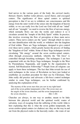feed nerves to the various parts of the body: the cervical (neck), thoracic (heart), lumbar (solar plexus), sacral (hara), and coccygeal centers. The significance of these spinal centers to spiritual perception is that if we are to withdraw our consciousness and life energy from the outer world of the senses into the kingdom of heaven within, so we can really love the Lord our God with all our "mind" and all our "strength," we need to reverse the flow of nervous energy, which normally flows out into the world, and redirect it so it circulates around the "temple of the Holy Spirit" within. In practice, this involves reversing the flow of perception at these main nerve centers. These nerve centers are the "gates" through which we move out into identification with the world, or withdraw into the kingdom of God within. There are Yoga techniques, designed to give control over these nerve centers, which greatly hasten the process of finding the "kingdom of God" within. Some of these Yoga techniques involve circulating "life energy" around the seven cerebro-spinal centers, often through *pranayama* methods, whereby the "life force" is controlled through breathing techniques. The techniques I am best acquainted with are the Kriya Yoga techniques, brought to the West by Paramahansa Yogananda, and taught by the organization he started, Self-Realization Fellowship.<sup>[8]</sup> People from all religions can apply to learn these techniques. The fact that John reveals his use of such techniques in the verses of Revelation we have just looked at establishes an excellent precedent for their use by Christians. That John really did practice and advocate a life-force control technique similar to some Yoga techniques, can be further confirmed by analyzing this explanation of his:

 The mystery of the seven stars that you saw in my right hand and of the seven golden lampstands is this: The seven stars are the angels of the seven churches, and the seven lampstands are the seven churches. (Rev 1:20)

Churches are always, in one way or another, meant to be links between this physical world and the spiritual world, routes of salvation, ways of escaping from the suffering of this world. John is here explaining that this is what the seven golden lampstands, the seven cerebro-spinal centers (or chakras) are: they are the way in and out from the physical realm to the heavenly realm — the route of our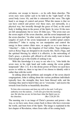salvation, our escape to heaven — so he calls them churches. The seven stars were earlier said to be held in the "right hand" of the astral body (verse 16), and this is reiterated in this verse. The right hand is an image of control and power. What this means is that we can have control and power over these stars, not outwardly, in a physical way, but inwardly through the grace of God, as the astral body is holding them in the power of the Spirit. In verse 16 the stars are left unexplained, but in verse 20 John says, "The seven stars are the seven angels of the seven churches, and the seven lampstands are the seven churches." In other words, the stars are the power and light (angels) of each of the seven lampstands or cerebro-spinal centers (churches).[9] John is saying we can manipulate and control the energy in these centers (their stars, or angels) so as to use them as "churches" — links to the kingdom of God within. Yoga techniques such as Kriya Yoga are designed to do exactly this. Such a Yoga, and the spiritual blessing by which it is effective, is the outworking of God's grace, a priceless gift offered to all who really want to know God enough to go to the trouble of seeking it out.

 With this knowledge it is easy to see who it is, "who holds the seven stars in his right hand and walks among the seven golden lampstands" (Rev 2:1). It is the divine power of Christ we each have access to within us, there to tap into if we choose to identify with it rather than with the world.

 In talking about the problems and strengths of the seven church congregations, John is talking about the various problems individuals typically face, the strengths they have been blessed with, and the warnings they need to heed if they are to "overcome," and receive the rewards from God he so beautifully describes:

 To him who overcomes and does my will to the end, I will give authority over the nations…I will also give him the morning star. He who has an ear, let him hear what the Spirit says to the churches. (Rev  $2:26,28-29$ )

The morning star is an image of Christ's presence and power — the way, as we have seen, Jesus comes back to those who have overcome the world, and been born of the Spirit. The image is explained in the last chapter of Revelation, where Jesus talks of his coming back: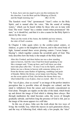"I, Jesus, have sent my angel to give you this testimony for the churches. I am the Root and the Offspring of David, and the bright morning star." (Rev 22:16)

The Sanskrit word "Om" (pronounced "Aum") refers to the Holy Spirit, and is named after his voice, "like the sound of rushing waters," which can be heard within by those who are in tune with God. The word "Amen" has a similar sound (when pronounced "Ahmen," as it should be), and that it is also a name for the Holy Spirit is shown by this verse:

 These are the words of the Amen, the faithful and true witness, the ruler of God's creation. (Rev 3:14)

In Chapter 4 John again refers to the cerebro-spinal centers, or chakras, as gates to the kingdom of heaven, and to the astral body of light, formed around these seven glowing centers ("seven lamps… blazing"), which together contain the sevenfold spirit of God. This truly describes how the body is the temple of the Holy Spirit:

 After this I looked, and there before me was a door standing open in heaven, And the voice I had first heard speaking to me like a trumpet said, "Come up here, and I will show you what must take place after this." At once I was in the Spirit, and there before me was a throne in heaven with someone sitting on it... From the throne came flashes of lightning, rumblings and peals of thunder. Before the throne, seven lamps were blazing. These are the seven spirits of God. Also before the throne there was what looked like a sea of glass, clear as crystal. (Rev 4:1–2,5–6)

The "sea of glass, clear as crystal" is an image of the perfect intuitive perception that is possible when all thoughts are calmed, and the mind is withdrawn from the senses and reverently concentrated on God alone. Thoughts are ripples on the lake of the mind, which break up and distort the image of God which is shining there always. But through meditation the mind becomes calm, the waves of thought gradually subside, and before long the presence of God is felt, just as the image of the moon appears in a still lake.

 In this sea of glass, John saw the truth about the two ways of living: the worldly way, which the masses in each generation choose, and the way of following God, which only a few people, the "elect"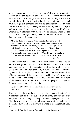in each generation, choose. The "seven seals" (Rev 6–8) maintain the secrecy about the power of the seven chakras, known only to the elect: each is a two-way gate, and the power residing in them is a two-edged sword. By withdrawing the life force up into the spine and brain through each of these nerve centers, the kingdom of God within can be realized, but by allowing the life force to go down the spine and out through these nerve centers into the physical world of sense attachment, worldliness, with all its troubles, results. These are the two choices. John symbolically pictures the results of each. First there are these preliminary verses:

 After this I saw four angels standing at the four corners of the earth, holding back the four winds…Then I saw another angel coming up from the east, having the seal of the living God. He called out in a loud voice to the four angels…: "Do not harm the land or the sea or the trees until we put a seal on the foreheads of the servants of our God." Then I heard the numbers of those who were sealed: 144,000 from all the tribes of Israel. (Rev 7:1–4)

 "Four" stands for the earth, and the four angels are the laws of nature which govern the way the material world works. Nature will have no power to harm the servants of God, as they are living under God's law, and are not bound by natural law. The "144,000" represent all the people who have chosen God, and the twelve tribes of Israel represent all the nations of the world. "Twelve" symbolizes the full extent of something. That 12,000 of the elect come from each of the twelve tribes, shows that no nation or people or religion is favoured over any other. The elect is:

 a great multitude that no-one could count, from every nation, tribe, people and language… (Rev 7:9)

They are people who have been in the "great tribulation" of worldliness, but have come out of it by following the way of purity and perfection Jesus taught. In the picturesque language of the vision, "they have washed their robes and made them white in the blood of the lamb." (Rev: 7:14) Their reward, in living in the kingdom of God, is that:

"they are before the throne of God and serve him day and night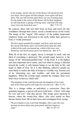in his temple; and he who sits on the throne will spread his tent over them. Never again will they hunger; never again will they thirst. The sun will not beat upon them, nor any scorching heat. For the lamb at the center of the throne will be their shepherd; he will lead them to springs of living water. And God will wipe away every tear from their eyes." (Rev 7:15–17)

By contrast, those who turn their back on God, and reach out into worldliness through their senses, wreak a terrible havoc on the world. The image of the "angels" (life energy), of the golden lampstands (chakras) being sent downward to the earth, rather than upward to God, is vividly portrayed:

 The first angel sounded his trumpet, and there came hail and fire mixed with blood, and it was hurled down upon the earth. A third of the earth was burned up, a third of the trees were burned up, and all the green grass was burned up. (Rev 8:7)

With all of the first six angels, havoc is brought to earth, and one third of everything is destroyed. The seventh angel, however, is the energy of the "thousand-petalled lotus" of the brain. It is the highest and most important nerve center, and even when its energy is directed toward the world, it calls human beings to see the holy in life, and begin to think of God. So it is that thinking, reflective people are most likely to realize the folly of living in a worldly way, become sick of its alternating joys and troubles, and look for permanent happiness. When the seventh angel sounded his trumpet, there were loud voices in heaven, which said:

 "The kingdom of the world has become the kingdom of our Lord, and of his Christ and he will reign for ever and ever." (Rev 11:15)

This is a change within an individual: a conversion. Once this genuinely happens, a person will never look back — Christ "will reign for ever and ever" with that person. This brings great rejoicing in heaven, where the twenty-four elders, who were seated on their thrones before God, fell on their faces and worshipped God, saying:

 "We give thanks to you, Lord God Almighty, who is and who was, because you have taken your great power and have begun to reign." (Rev 11:16–17)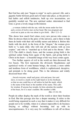But God has only just "begun to reign" in such a person's life, and a gigantic battle between good and evil must take place, as the person's bad habits and selfish tendencies, built up over incarnations, are painfully weeded out. The new spiritual seeker, determined to find God, is given a lovely image in Revelation:

 …a woman clothed with the sun, with the moon under her feet and a crown of twelve stars on her head. She was pregnant and cried out in pain as she was about to give birth. (Rev 12:1–2)

This shows how much God values every new person who comes to Him: he dresses them in the glory of the universe, and is there to help them do battle with their old worldly nature and defeat it. Before this battle with the devil, in the form of the "dragon," the woman gives birth to "a male child, who will rule all the nations with an iron scepter," and who is "snatched up to God and to his throne." (Rev 12:5) The child is clearly Jesus, and the woman giving birth is the spiritual seeker being born again of the Spirit, and giving birth to Christ in his heart — a beautiful image of the way Jesus comes again.

 Two further aspects of evil in the world are then discussed: the two beasts. The first represents the obviously blasphemous and egotistical works of some human beings, the second, a more subtle and insidious form of worldliness, which is sophisticated, deceptive, and pretends to be doing good. This is the infamous and widely discussed beast who:

 …forced everyone, small and great, rich and poor, free and slave, to receive a mark on his right hand or on his forehead, so that no-one could buy or sell unless he had the mark, which is the name of the beast or the number of his name. This calls for wisdom. If anyone has insight, let him calculate the number of the beast, for it is man's number. His number is 666.

(Rev 13:16–18)

People do either display the mark of the world or show their freedom in God. But this passage also has a deeper meaning. It refers to the world being organized in such a way that it makes it very difficult for people not to be worldly, where it is almost impossible to do business (buying or selling) without becoming tied up with its unscrupulousness. It is very easy for worldliness to rub off on those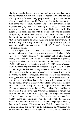who have recently decided to seek God, and for it to drag them back into its clutches. Wisdom and insight are needed to find the way out of this problem, for even Godly people need to buy and sell, and in other ways deal with the world. The answer lies in the fact that the mark of the beast is "man's number." The essence of worldliness lies in people being egotistical and wanting to do things in their own human way, rather than through seeking God's way. With this insight, God's people can deal with the world safely, and not become corrupted by it: what they have to do is remain centered in the thought of God, avoid putting themselves first, and always ask God what He wants them to do, rather than doing things their own way. "I did it my way" is the way of the world, which gratifies the ego, but leads to inevitable pain and sorrow. "I did it God's way" is the way to eternal happiness.

 In the symbolism of numbers, "6" was considered a human number, and no matter how many times it is repeated, it always falls short of "7," God's number.<sup>[10]</sup> The number 666 is also almost exactly two-thirds of 1,000, which is, in this symbolism, a perfect, complete number, as in the number of the elect, which is  $12x12x1000$ , and the millennium, which is "1,000" years of peace. Man's number being two-thirds of perfection is significant. When the first six angels hurled their strength down to earth (Rev 8 and 9), which, as we saw, is an image of people's sense identification with the world, "a third" of everything that was touched was destroyed, leaving just two-thirds intact. This is the way of the world: even at its best, for every two things that go right, there will be something that will go wrong, progress is always "two steps forward and one step backwards," and for every two days of happiness there will be a day of sadness somewhere down the line. This duality of the world can't be avoided; it is its very nature. Only in the kingdom of heaven can perfection be found. And this is why living in the kingdom of heaven is described as a "thousand" years. Once people have overcome their worldly habits and tendencies (won the battle with the dragon), avoided the deception of the beast (worldliness tempting them back), then, in the language of Revelation, their "Babylon" has fallen, there is great rejoicing, and they live in the millennium, the "thousand" or perfect years of living in the kingdom of heaven, during which the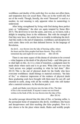worldliness and duality of the earth they live on does not affect them, and temptation does not assail them. They are in the world still, but not of the world. Though, literally, the word "thousand" is used as a number, its real meaning is only apparent when its numerology is understood.

 After being strengthened by living with God during these perfect years or "millennium," the elect are again tempted by Satan (Rev 20:7). The devil loves to test the saints, and even, as we know, took a delight in tempting Jesus in the wilderness. But with the strength of God they now have, the saintly have no trouble in defeating the devil. And this really is the end of temptation, worldliness and deception for such saints: these evils are then defeated forever. In the language of Revelation,

 the devil…was thrown into the lake of burning sulfur, where the beast and the false prophet had been thrown. They will be tormented day and night for ever and ever. (Rev 20:10)

 There is one more aspect of this drama of salvation to be covered — what happens at the death of the physical body — and John goes on to shed light on this. As it is a time of transition, a judgment must be made about where each soul is to go next. What John saw was that "each person was judged according to what he had done." (Rev 20:13) This is the end of physical death for the Godly who have overcome worldliness: death belongs to material existence, "the lake of fire," so whatever impression of the realness of physical death these graduating souls have brought with them must be cast off, and returned to earth, along with all the worldly souls who still hanker after a material existence. As Revelation puts it:

 …death and Hades were thrown into the lake of fire. The lake of fire is the second death. If anyone's name was not found written in the book of life, he was thrown into the lake of fire. (Rev 20:14)

An earlier passage showed that this lake of fire, or burning sulfur, is the permanent home of temptation (the devil), worldliness (the beast) and deceptiveness and false teaching (the false prophet). Now it is also shown to be the place where death, Hades and worldly people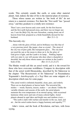reside. This certainly sounds like earth, or some other material planet. And, indeed, the lake of fire is the material plane of existence.

 Those whose names are written in "the book of life" do not return to a material existence. For them the "first earth" has "passed away," and they graduate to a totally new existence:

 Then I saw a new heaven and a new earth, for the first heaven and the first earth had passed away, and there was no longer any sea. I saw the Holy City, the new Jerusalem, coming down out of heaven from God, prepared as a bride beautifully dressed for her husband.  $(\text{Rev } 21:1-2)$ 

This heavenly city:

 …shone with the glory of God, and its brilliance was like that of a very precious jewel, like jasper, clear as crystal…The street of the city was of pure gold, like transparent glass… The city does not need the sun or the moon to shine on it, for the glory of God gives it light, and the Lamb is its lamp… Nothing impure will ever enter it, nor will anyone who does what is shameful or deceitful, but only those whose names are written in the Lamb's book of life. (Rev 21:11,21,23,27)

The Hindus would call this an astral world, and it is the reward for those who have overcome worldliness. Compare its description with that of the astral world Hiranyaloka, described by Sri Yukteswar in the chapter "The Resurrection of Sri Yukteswar" in Paramahansa Yogananda's *Autobiography of a Yogi* Here are some snippets of a description which runs for some pages:

 "The astral world is infinitely beautiful, clean, pure, and orderly There are no dead planets or barren lands. The terrestrial ble mishes — weeds, bacteria, insects, snakes — are absent. Unlike the variable climates and seasons of the earth, the astral planets maintain the even temperature of an eternal spring, with occasional luminous white snow and rain of many-colored lights. Astral planets abound in opal lakes and bright seas and rainbow rivers…

 "The earth is dark with warfare and murder in the sea, land, and air…but the astral realms know a happy harmony and equality."[11]

 John's vision, and the book of Revelation, end here, with Jesus saying,